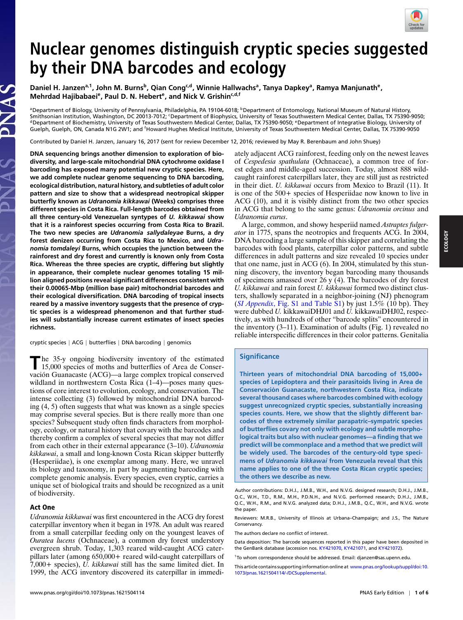

# **Nuclear genomes distinguish cryptic species suggested by their DNA barcodes and ecology**

**Daniel H. Janzena,1, John M. Burns<sup>b</sup> , Qian Congc,d, Winnie Hallwachs<sup>a</sup> , Tanya Dapkey<sup>a</sup> , Ramya Manjunath<sup>e</sup> , Mehrdad Hajibabaei<sup>e</sup> , Paul D. N. Hebert<sup>e</sup> , and Nick V. Grishinc,d,f**

<sup>a</sup>Department of Biology, University of Pennsylvania, Philadelphia, PA 19104-6018; <sup>b</sup>Department of Entomology, National Museum of Natural History, Smithsonian Institution, Washington, DC 20013-7012; <sup>c</sup>Department of Biophysics, University of Texas Southwestern Medical Center, Dallas, TX 75390-9050; dDepartment of Biochemistry, University of Texas Southwestern Medical Center, Dallas, TX 75390-9050; <sup>e</sup>Department of Integrative Biology, University of Guelph, Guelph, ON, Canada N1G 2W1; and <sup>f</sup>Howard Hughes Medical Institute, University of Texas Southwestern Medical Center, Dallas, TX 75390-9050

Contributed by Daniel H. Janzen, January 16, 2017 (sent for review December 12, 2016; reviewed by May R. Berenbaum and John Shuey)

**DNA sequencing brings another dimension to exploration of biodiversity, and large-scale mitochondrial DNA cytochrome oxidase I barcoding has exposed many potential new cryptic species. Here, we add complete nuclear genome sequencing to DNA barcoding, ecological distribution, natural history, and subtleties of adult color pattern and size to show that a widespread neotropical skipper butterfly known as** *Udranomia kikkawai* **(Weeks) comprises three different species in Costa Rica. Full-length barcodes obtained from all three century-old Venezuelan syntypes of** *U. kikkawai* **show that it is a rainforest species occurring from Costa Rica to Brazil. The two new species are** *Udranomia sallydaleyae* **Burns, a dry forest denizen occurring from Costa Rica to Mexico, and** *Udranomia tomdaleyi* **Burns, which occupies the junction between the rainforest and dry forest and currently is known only from Costa Rica. Whereas the three species are cryptic, differing but slightly in appearance, their complete nuclear genomes totaling 15 million aligned positions reveal significant differences consistent with their 0.00065-Mbp (million base pair) mitochondrial barcodes and their ecological diversification. DNA barcoding of tropical insects reared by a massive inventory suggests that the presence of cryptic species is a widespread phenomenon and that further studies will substantially increase current estimates of insect species richness.**

cryptic species | ACG | butterflies | DNA barcoding | genomics

The 35-y ongoing biodiversity inventory of the estimated 15,000 species of moths and butterflies of Area de Conserhe 35-y ongoing biodiversity inventory of the estimated vación Guanacaste (ACG)—a large complex tropical conserved wildland in northwestern Costa Rica (1–4)—poses many questions of core interest to evolution, ecology, and conservation. The intense collecting (3) followed by mitochondrial DNA barcoding (4, 5) often suggests that what was known as a single species may comprise several species. But is there really more than one species? Subsequent study often finds characters from morphology, ecology, or natural history that covary with the barcodes and thereby confirm a complex of several species that may not differ from each other in their external appearance (3–10). *Udranomia kikkawai*, a small and long-known Costa Rican skipper butterfly (Hesperiidae), is one exemplar among many. Here, we unravel its biology and taxonomy, in part by augmenting barcoding with complete genomic analysis. Every species, even cryptic, carries a unique set of biological traits and should be recognized as a unit of biodiversity.

## Act One

*Udranomia kikkawai* was first encountered in the ACG dry forest caterpillar inventory when it began in 1978. An adult was reared from a small caterpillar feeding only on the youngest leaves of *Ouratea lucens* (Ochnaceae), a common dry forest understory evergreen shrub. Today, 1,303 reared wild-caught ACG caterpillars later (among 650,000+ reared wild-caught caterpillars of 7,000+ species), *U. kikkawai* still has the same limited diet. In 1999, the ACG inventory discovered its caterpillar in immedi-

ately adjacent ACG rainforest, feeding only on the newest leaves of *Cespedesia spathulata* (Ochnaceae), a common tree of forest edges and middle-aged succession. Today, almost 888 wildcaught rainforest caterpillars later, they are still just as restricted in their diet. *U. kikkawai* occurs from Mexico to Brazil (11). It is one of the 500+ species of Hesperiidae now known to live in ACG (10), and it is visibly distinct from the two other species in ACG that belong to the same genus: *Udranomia orcinus* and *Udranomia eurus*.

A large, common, and showy hesperiid named *Astraptes fulgerator* in 1775, spans the neotropics and frequents ACG. In 2004, DNA barcoding a large sample of this skipper and correlating the barcodes with food plants, caterpillar color patterns, and subtle differences in adult patterns and size revealed 10 species under that one name, just in ACG (6). In 2004, stimulated by this stunning discovery, the inventory began barcoding many thousands of specimens amassed over 26 y (4). The barcodes of dry forest *U. kikkawai* and rain forest *U. kikkawai* formed two distinct clusters, shallowly separated in a neighbor-joining (NJ) phenogram (*SI Appendix*[, Fig. S1 and Table S1\)](http://www.pnas.org/lookup/suppl/doi:10.1073/pnas.1621504114/-/DCSupplemental/pnas.1621504114.sapp.pdf) by just 1.5% (10 bp). They were dubbed *U.* kikkawaiDHJ01 and *U.* kikkawaiDHJ02, respectively, as with hundreds of other "barcode splits" encountered in the inventory (3–11). Examination of adults (Fig. 1) revealed no reliable interspecific differences in their color patterns. Genitalia

## **Significance**

**Thirteen years of mitochondrial DNA barcoding of 15,000+ species of Lepidoptera and their parasitoids living in Area de Conservacion Guanacaste, northwestern Costa Rica, indicate ´ several thousand cases where barcodes combined with ecology suggest unrecognized cryptic species, substantially increasing species counts. Here, we show that the slightly different barcodes of three extremely similar parapatric–sympatric species of butterflies covary not only with ecology and subtle morphological traits but also with nuclear genomes—a finding that we predict will be commonplace and a method that we predict will be widely used. The barcodes of the century-old type specimens of** *Udranomia kikkawai* **from Venezuela reveal that this name applies to one of the three Costa Rican cryptic species; the others we describe as new.**

Reviewers: M.R.B., University of Illinois at Urbana–Champaign; and J.S., The Nature Conservancy.

The authors declare no conflict of interest.

Data deposition: The barcode sequences reported in this paper have been deposited in the GenBank database (accession nos. [KY421070,](http://www.ncbi.nlm.nih.gov/nuccore/KY421070) [KY421071,](http://www.ncbi.nlm.nih.gov/nuccore/KY421071) and [KY421072\)](http://www.ncbi.nlm.nih.gov/nuccore/KY421072).

<sup>1</sup> To whom correspondence should be addressed. Email: [djanzen@sas.upenn.edu.](mailto:djanzen@sas.upenn.edu)

This article contains supporting information online at [www.pnas.org/lookup/suppl/doi:10.](http://www.pnas.org/lookup/suppl/doi:10.1073/pnas.1621504114/-/DCSupplemental) [1073/pnas.1621504114/-/DCSupplemental.](http://www.pnas.org/lookup/suppl/doi:10.1073/pnas.1621504114/-/DCSupplemental)

Author contributions: D.H.J., J.M.B., W.H., and N.V.G. designed research; D.H.J., J.M.B., Q.C., W.H., T.D., R.M., M.H., P.D.N.H., and N.V.G. performed research; D.H.J., J.M.B., Q.C., W.H., R.M., and N.V.G. analyzed data; D.H.J., J.M.B., Q.C., W.H., and N.V.G. wrote the paper.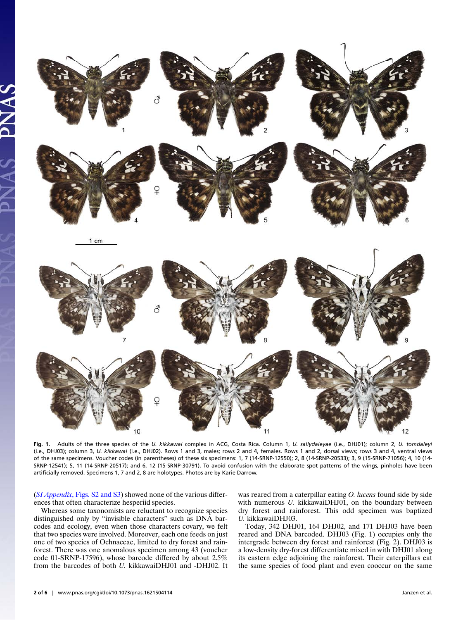

**Fig. 1.** Adults of the three species of the *U. kikkawai* complex in ACG, Costa Rica. Column 1, *U. sallydaleyae* (i.e., DHJ01); column 2, *U. tomdaleyi* (i.e., DHJ03); column 3, *U. kikkawai* (i.e., DHJ02). Rows 1 and 3, males; rows 2 and 4, females. Rows 1 and 2, dorsal views; rows 3 and 4, ventral views of the same specimens. Voucher codes (in parentheses) of these six specimens: 1, 7 (14-SRNP-12550); 2, 8 (14-SRNP-20533); 3, 9 (15-SRNP-71056); 4, 10 (14- SRNP-12541); 5, 11 (14-SRNP-20517); and 6, 12 (15-SRNP-30791). To avoid confusion with the elaborate spot patterns of the wings, pinholes have been artificially removed. Specimens 1, 7 and 2, 8 are holotypes. Photos are by Karie Darrow.

(*SI Appendix*[, Figs. S2 and S3\)](http://www.pnas.org/lookup/suppl/doi:10.1073/pnas.1621504114/-/DCSupplemental/pnas.1621504114.sapp.pdf) showed none of the various differences that often characterize hesperiid species.

Whereas some taxonomists are reluctant to recognize species distinguished only by "invisible characters" such as DNA barcodes and ecology, even when those characters covary, we felt that two species were involved. Moreover, each one feeds on just one of two species of Ochnaceae, limited to dry forest and rainforest. There was one anomalous specimen among 43 (voucher code 01-SRNP-17596), whose barcode differed by about 2.5% from the barcodes of both *U.* kikkawaiDHJ01 and -DHJ02. It was reared from a caterpillar eating *O. lucens* found side by side with numerous *U.* kikkawaiDHJ01, on the boundary between dry forest and rainforest. This odd specimen was baptized *U.* kikkawaiDHJ03.

Today, 342 DHJ01, 164 DHJ02, and 171 DHJ03 have been reared and DNA barcoded. DHJ03 (Fig. 1) occupies only the intergrade between dry forest and rainforest (Fig. 2). DHJ03 is a low-density dry-forest differentiate mixed in with DHJ01 along its eastern edge adjoining the rainforest. Their caterpillars eat the same species of food plant and even cooccur on the same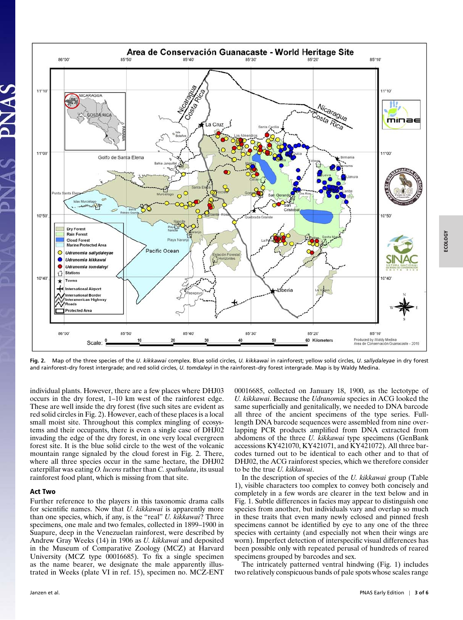

**Fig. 2.** Map of the three species of the *U. kikkawai* complex. Blue solid circles, *U. kikkawai* in rainforest; yellow solid circles, *U. sallydaleyae* in dry forest and rainforest–dry forest intergrade; and red solid circles, *U. tomdaleyi* in the rainforest–dry forest intergrade. Map is by Waldy Medina.

individual plants. However, there are a few places where DHJ03 occurs in the dry forest, 1–10 km west of the rainforest edge. These are well inside the dry forest (five such sites are evident as red solid circles in Fig. 2). However, each of these places is a local small moist site. Throughout this complex mingling of ecosystems and their occupants, there is even a single case of DHJ02 invading the edge of the dry forest, in one very local evergreen forest site. It is the blue solid circle to the west of the volcanic mountain range signaled by the cloud forest in Fig. 2. There, where all three species occur in the same hectare, the DHJ02 caterpillar was eating *O. lucens*rather than *C. spathulata*, its usual rainforest food plant, which is missing from that site.

# Act Two

Further reference to the players in this taxonomic drama calls for scientific names. Now that *U. kikkawai* is apparently more than one species, which, if any, is the "real" *U. kikkawai*? Three specimens, one male and two females, collected in 1899–1900 in Suapure, deep in the Venezuelan rainforest, were described by Andrew Gray Weeks (14) in 1906 as *U. kikkawai* and deposited in the Museum of Comparative Zoology (MCZ) at Harvard University (MCZ type  $0.0016685$ ). To fix a single specimen as the name bearer, we designate the male apparently illustrated in Weeks (plate VI in ref. 15), specimen no. MCZ-ENT

00016685, collected on January 18, 1900, as the lectotype of *U. kikkawai*. Because the *Udranomia* species in ACG looked the same superficially and genitalically, we needed to DNA barcode all three of the ancient specimens of the type series. Fulllength DNA barcode sequences were assembled from nine overlapping PCR products amplified from DNA extracted from abdomens of the three *U. kikkawai* type specimens (GenBank accessions KY421070, KY421071, and KY421072). All three barcodes turned out to be identical to each other and to that of DHJ02, the ACG rainforest species, which we therefore consider to be the true *U. kikkawai*.

In the description of species of the *U. kikkawai* group (Table 1), visible characters too complex to convey both concisely and completely in a few words are clearer in the text below and in Fig. 1. Subtle differences in facies may appear to distinguish one species from another, but individuals vary and overlap so much in these traits that even many newly eclosed and pinned fresh specimens cannot be identified by eye to any one of the three species with certainty (and especially not when their wings are worn). Imperfect detection of interspecific visual differences has been possible only with repeated perusal of hundreds of reared specimens grouped by barcodes and sex.

The intricately patterned ventral hindwing (Fig. 1) includes two relatively conspicuous bands of pale spots whose scales range

ECOLOGY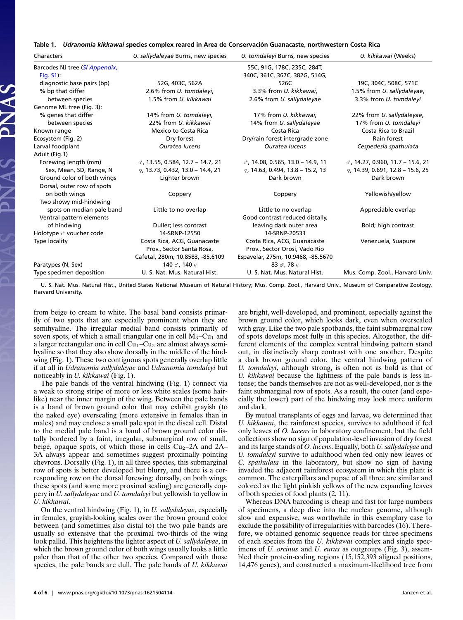#### **Table 1.** *Udranomia kikkawai* **species complex reared in Area de Conservacion Guanacaste, northwestern Costa Rica ´**

| Characters                     | U. sallydaleyae Burns, new species       | U. tomdalevi Burns, new species             | U. kikkawai (Weeks)                      |
|--------------------------------|------------------------------------------|---------------------------------------------|------------------------------------------|
| Barcodes NJ tree (SI Appendix, |                                          | 55C, 91G, 178C, 235C, 284T,                 |                                          |
| Fig. $51$ ):                   |                                          | 340C, 361C, 367C, 382G, 514G,               |                                          |
| diagnostic base pairs (bp)     | 52G, 403C, 562A                          | 526C                                        | 19C, 304C, 508C, 571C                    |
| % bp that differ               | 2.6% from <i>U. tomdalevi</i> ,          | 3.3% from U. kikkawai,                      | 1.5% from <i>U. sallydaleyae</i> ,       |
| between species                | 1.5% from U. kikkawai                    | 2.6% from <i>U. sallydaleyae</i>            | 3.3% from <i>U. tomdaleyi</i>            |
| Genome ML tree (Fig. 3):       |                                          |                                             |                                          |
| % genes that differ            | 14% from <i>U.</i> tomdaleyi,            | 17% from U. kikkawai,                       | 22% from <i>U. sallydaleyae</i> ,        |
| between species                | 22% from U. kikkawai                     | 14% from U. sallydaleyae                    | 17% from U. tomdaleyi                    |
| Known range                    | Mexico to Costa Rica                     | Costa Rica                                  | Costa Rica to Brazil                     |
| Ecosystem (Fig. 2)             | Dry forest                               | Dry/rain forest intergrade zone             | Rain forest                              |
| Larval foodplant               | <b>Ouratea</b> lucens                    | <b>Ouratea</b> lucens                       | Cespedesia spathulata                    |
| Adult (Fig.1)                  |                                          |                                             |                                          |
| Forewing length (mm)           | $\sigma$ , 13.55, 0.584, 12.7 - 14.7, 21 | $\sigma$ , 14.08, 0.565, 13.0 - 14.9, 11    | $\sigma$ , 14.27, 0.960, 11.7 - 15.6, 21 |
| Sex, Mean, SD, Range, N        | $Q$ , 13.73, 0.432, 13.0 - 14.4, 21      | $Q$ , 14.63, 0.494, 13.8 - 15.2, 13         | $Q$ , 14.39, 0.691, 12.8 - 15.6, 25      |
| Ground color of both wings     | Lighter brown                            | Dark brown                                  | Dark brown                               |
| Dorsal, outer row of spots     |                                          |                                             |                                          |
| on both wings                  | Coppery                                  | Coppery                                     | Yellowish/yellow                         |
| Two showy mid-hindwing         |                                          |                                             |                                          |
| spots on median pale band      | Little to no overlap                     | Little to no overlap                        | Appreciable overlap                      |
| Ventral pattern elements       |                                          | Good contrast reduced distally,             |                                          |
| of hindwing                    | Duller; less contrast                    | leaving dark outer area                     | Bold; high contrast                      |
| Holotype ♂ voucher code        | 14-SRNP-12550                            | 14-SRNP-20533                               |                                          |
| Type locality                  | Costa Rica, ACG, Guanacaste              | Costa Rica, ACG, Guanacaste                 | Venezuela, Suapure                       |
|                                | Prov., Sector Santa Rosa,                | Prov., Sector Orosi, Vado Rio               |                                          |
|                                | Cafetal, 280m, 10.8583, -85.6109         | Espavelar, 275m, 10.9468, -85.5670          |                                          |
| Paratypes (N, Sex)             | 140 ♂, 140 ♀                             | $83 \text{ } \sigma$ , 78 $\text{ } \Omega$ |                                          |
| Type specimen deposition       | U. S. Nat. Mus. Natural Hist.            | U. S. Nat. Mus. Natural Hist.               | Mus. Comp. Zool., Harvard Univ.          |

U. S. Nat. Mus. Natural Hist., United States National Museum of Natural History; Mus. Comp. Zool., Harvard Univ., Museum of Comparative Zoology, Harvard University.

from beige to cream to white. The basal band consists primarily of two spots that are especially prominent when they are semihyaline. The irregular medial band consists primarily of seven spots, of which a small triangular one in cell  $M_3$ –Cu<sub>1</sub> and a larger rectangular one in cell  $Cu<sub>1</sub>-Cu<sub>2</sub>$  are almost always semihyaline so that they also show dorsally in the middle of the hindwing (Fig. 1). These two contiguous spots generally overlap little if at all in *Udranomia sallydaleyae* and *Udranomia tomdaleyi* but noticeably in *U. kikkawai* (Fig. 1).

The pale bands of the ventral hindwing (Fig. 1) connect via a weak to strong stripe of more or less white scales (some hairlike) near the inner margin of the wing. Between the pale bands is a band of brown ground color that may exhibit grayish (to the naked eye) overscaling (more extensive in females than in males) and may enclose a small pale spot in the discal cell. Distal to the medial pale band is a band of brown ground color distally bordered by a faint, irregular, submarginal row of small, beige, opaque spots, of which those in cells  $Cu<sub>2</sub>-2A$  and  $2A-$ 3A always appear and sometimes suggest proximally pointing chevrons. Dorsally (Fig. 1), in all three species, this submarginal row of spots is better developed but blurry, and there is a corresponding row on the dorsal forewing; dorsally, on both wings, these spots (and some more proximal scaling) are generally coppery in *U. sallydaleyae* and *U. tomdaleyi* but yellowish to yellow in *U. kikkawai*.

On the ventral hindwing (Fig. 1), in *U. sallydaleyae*, especially in females, grayish-looking scales over the brown ground color between (and sometimes also distal to) the two pale bands are usually so extensive that the proximal two-thirds of the wing look pallid. This heightens the lighter aspect of *U. sallydaleyae*, in which the brown ground color of both wings usually looks a little paler than that of the other two species. Compared with those species, the pale bands are dull. The pale bands of *U. kikkawai* are bright, well-developed, and prominent, especially against the brown ground color, which looks dark, even when overscaled with gray. Like the two pale spotbands, the faint submarginal row of spots develops most fully in this species. Altogether, the different elements of the complex ventral hindwing pattern stand out, in distinctively sharp contrast with one another. Despite a dark brown ground color, the ventral hindwing pattern of *U. tomdaleyi*, although strong, is often not as bold as that of *U. kikkawai* because the lightness of the pale bands is less intense; the bands themselves are not as well-developed, nor is the faint submarginal row of spots. As a result, the outer (and especially the lower) part of the hindwing may look more uniform and dark.

By mutual transplants of eggs and larvae, we determined that *U. kikkawai*, the rainforest species, survives to adulthood if fed only leaves of *O. lucens* in laboratory confinement, but the field collections show no sign of population-level invasion of dry forest and its large stands of *O. lucens*. Equally, both *U. sallydaleyae* and *U. tomdaleyi* survive to adulthood when fed only new leaves of *C. spathulata* in the laboratory, but show no sign of having invaded the adjacent rainforest ecosystem in which this plant is common. The caterpillars and pupae of all three are similar and colored as the light pinkish yellows of the new expanding leaves of both species of food plants (2, 11).

Whereas DNA barcoding is cheap and fast for large numbers of specimens, a deep dive into the nuclear genome, although slow and expensive, was worthwhile in this exemplary case to exclude the possibility of irregularities with barcodes (16). Therefore, we obtained genomic sequence reads for three specimens of each species from the *U. kikkawai* complex and single specimens of *U. orcinus* and *U. eurus* as outgroups (Fig. 3), assembled their protein-coding regions (15,152,393 aligned positions, 14,476 genes), and constructed a maximum-likelihood tree from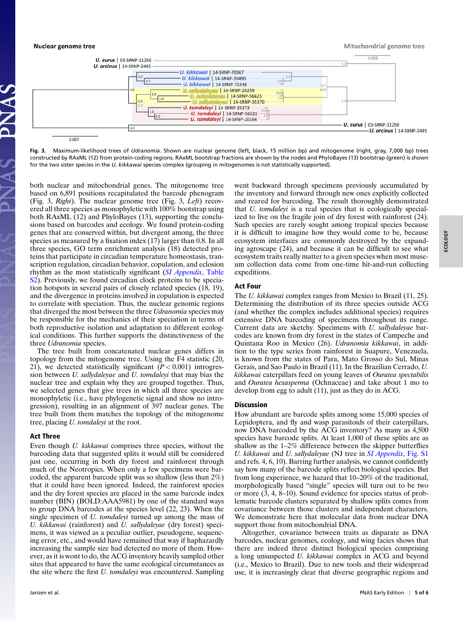#### Nuclear genome tree

Mitochondrial genome tree



**Fig. 3.** Maximum-likelihood trees of *Udranomia*. Shown are nuclear genome (left, black, 15 million bp) and mitogenome (right, gray, 7,000 bp) trees constructed by RAxML (12) from protein-coding regions. RAxML bootstrap fractions are shown by the nodes and PhyloBayes (13) bootstrap (green) is shown for the two sister species in the *U. kikkawai* species complex (grouping in mitogenomes is not statistically supported).

both nuclear and mitochondrial genes. The mitogenome tree based on 6,891 positions recapitulated the barcode phenogram (Fig. 3, *Right*). The nuclear genome tree (Fig. 3, *Left*) recovered all three species as monophyletic with 100% bootstrap using both RAxML (12) and PhyloBayes (13), supporting the conclusions based on barcodes and ecology. We found protein-coding genes that are conserved within, but divergent among, the three species as measured by a fixation index (17) larger than 0.8. In all three species, GO term enrichment analysis (18) detected proteins that participate in circadian temperature homeostasis, transcription regulation, circadian behavior, copulation, and eclosion rhythm as the most statistically significant (*[SI Appendix](http://www.pnas.org/lookup/suppl/doi:10.1073/pnas.1621504114/-/DCSupplemental/pnas.1621504114.sapp.pdf)*, Table S<sub>2</sub>). Previously, we found circadian clock proteins to be speciation hotspots in several pairs of closely related species (18, 19), and the divergence in proteins involved in copulation is expected to correlate with speciation. Thus, the nuclear genomic regions that diverged the most between the three *Udranomia* species may be responsible for the mechanics of their speciation in terms of both reproductive isolation and adaptation to different ecological conditions. This further supports the distinctiveness of the three *Udranomia* species.

The tree built from concatenated nuclear genes differs in topology from the mitogenome tree. Using the F4 statistic (20, 21), we detected statistically significant  $(P < 0.001)$  introgression between *U. sallydaleyae* and *U. tomdaleyi* that may bias the nuclear tree and explain why they are grouped together. Thus, we selected genes that give trees in which all three species are monophyletic (i.e., have phylogenetic signal and show no introgression), resulting in an alignment of 397 nuclear genes. The tree built from them matches the topology of the mitogenome tree, placing *U. tomdaleyi* at the root.

## Act Three

Even though *U. kikkawai* comprises three species, without the barcoding data that suggested splits it would still be considered just one, occurring in both dry forest and rainforest through much of the Neotropics. When only a few specimens were barcoded, the apparent barcode split was so shallow (less than 2%) that it could have been ignored. Indeed, the rainforest species and the dry forest species are placed in the same barcode index number (BIN) (BOLD:AAA5981) by one of the standard ways to group DNA barcodes at the species level (22, 23). When the single specimen of *U. tomdaleyi* turned up among the mass of *U. kikkawai* (rainforest) and *U. sallydaleyae* (dry forest) specimens, it was viewed as a peculiar outlier, pseudogene, sequencing error, etc., and would have remained that way if haphazardly increasing the sample size had detected no more of them. However, as it is wont to do, the ACG inventory heavily sampled other sites that appeared to have the same ecological circumstances as the site where the first *U. tomdaleyi* was encountered. Sampling

went backward through specimens previously accumulated by the inventory and forward through new ones explicitly collected and reared for barcoding. The result thoroughly demonstrated that *U. tomdaleyi* is a real species that is ecologically specialized to live on the fragile join of dry forest with rainforest (24). Such species are rarely sought among tropical species because it is difficult to imagine how they would come to be, because ecosystem interfaces are commonly destroyed by the expanding agroscape (24), and because it can be difficult to see what ecosystem traits really matter to a given species when most museum collection data come from one-time hit-and-run collecting expeditions.

# Act Four

The *U. kikkawai* complex ranges from Mexico to Brazil (11, 25). Determining the distribution of its three species outside ACG (and whether the complex includes additional species) requires extensive DNA barcoding of specimens throughout its range. Current data are sketchy. Specimens with *U. sallydaleyae* barcodes are known from dry forest in the states of Campeche and Quintana Roo in Mexico (26). *Udranomia kikkawai*, in addition to the type series from rainforest in Suapure, Venezuela, is known from the states of Para, Mato Grosso do Sul, Minas Gerais, and Sao Paulo in Brazil (11). In the Brazilian Cerrado, *U. kikkawai* caterpillars feed on young leaves of *Ouratea spectabilis* and *Ouratea hexasperma* (Ochnaceae) and take about 1 mo to develop from egg to adult (11), just as they do in ACG.

# Discussion

How abundant are barcode splits among some 15,000 species of Lepidoptera, and fly and wasp parasitoids of their caterpillars, now DNA barcoded by the ACG inventory? As many as 4,500 species have barcode splits. At least 1,000 of these splits are as shallow as the 1–2% difference between the skipper butterflies *U. kikkawai* and *U. sallydaleyae* (NJ tree in *[SI Appendix](http://www.pnas.org/lookup/suppl/doi:10.1073/pnas.1621504114/-/DCSupplemental/pnas.1621504114.sapp.pdf)*, Fig. S1 and refs. 4, 6, 10). Barring further analysis, we cannot confidently say how many of the barcode splits reflect biological species. But from long experience, we hazard that 10–20% of the traditional, morphologically based "single" species will turn out to be two or more (3, 4, 8–10). Sound evidence for species status of problematic barcode clusters separated by shallow splits comes from covariance between those clusters and independent characters. We demonstrate here that molecular data from nuclear DNA support those from mitochondrial DNA.

Altogether, covariance between traits as disparate as DNA barcodes, nuclear genomes, ecology, and wing facies shows that there are indeed three distinct biological species comprising a long unsuspected *U. kikkawai* complex in ACG and beyond (i.e., Mexico to Brazil). Due to new tools and their widespread use, it is increasingly clear that diverse geographic regions and